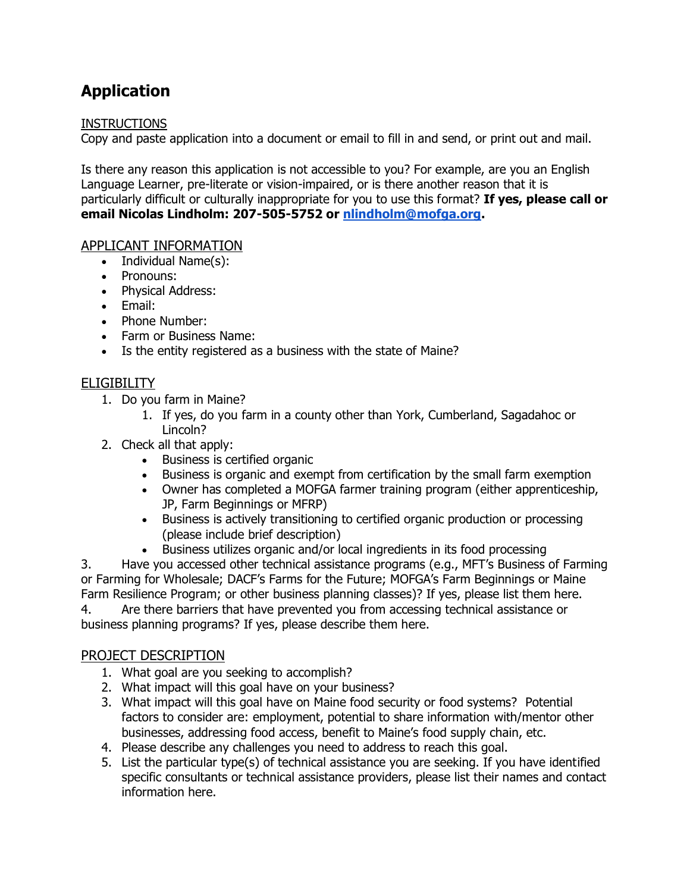# **Application**

#### INSTRUCTIONS

Copy and paste application into a document or email to fill in and send, or print out and mail.

Is there any reason this application is not accessible to you? For example, are you an English Language Learner, pre-literate or vision-impaired, or is there another reason that it is particularly difficult or culturally inappropriate for you to use this format? **If yes, please call or email Nicolas Lindholm: 207-505-5752 or [nlindholm@mofga.org.](mailto:nlindholm@mofga.org)**

#### APPLICANT INFORMATION

- Individual Name(s):
- Pronouns:
- Physical Address:
- Email:
- Phone Number:
- Farm or Business Name:
- Is the entity registered as a business with the state of Maine?

#### ELIGIBILITY

- 1. Do you farm in Maine?
	- 1. If yes, do you farm in a county other than York, Cumberland, Sagadahoc or Lincoln?
- 2. Check all that apply:
	- Business is certified organic
	- Business is organic and exempt from certification by the small farm exemption
	- Owner has completed a MOFGA farmer training program (either apprenticeship, JP, Farm Beginnings or MFRP)
	- Business is actively transitioning to certified organic production or processing (please include brief description)
	- Business utilizes organic and/or local ingredients in its food processing

3. Have you accessed other technical assistance programs (e.g., MFT's Business of Farming or Farming for Wholesale; DACF's Farms for the Future; MOFGA's Farm Beginnings or Maine Farm Resilience Program; or other business planning classes)? If yes, please list them here. 4. Are there barriers that have prevented you from accessing technical assistance or business planning programs? If yes, please describe them here.

#### PROJECT DESCRIPTION

- 1. What goal are you seeking to accomplish?
- 2. What impact will this goal have on your business?
- 3. What impact will this goal have on Maine food security or food systems? Potential factors to consider are: employment, potential to share information with/mentor other businesses, addressing food access, benefit to Maine's food supply chain, etc.
- 4. Please describe any challenges you need to address to reach this goal.
- 5. List the particular type(s) of technical assistance you are seeking. If you have identified specific consultants or technical assistance providers, please list their names and contact information here.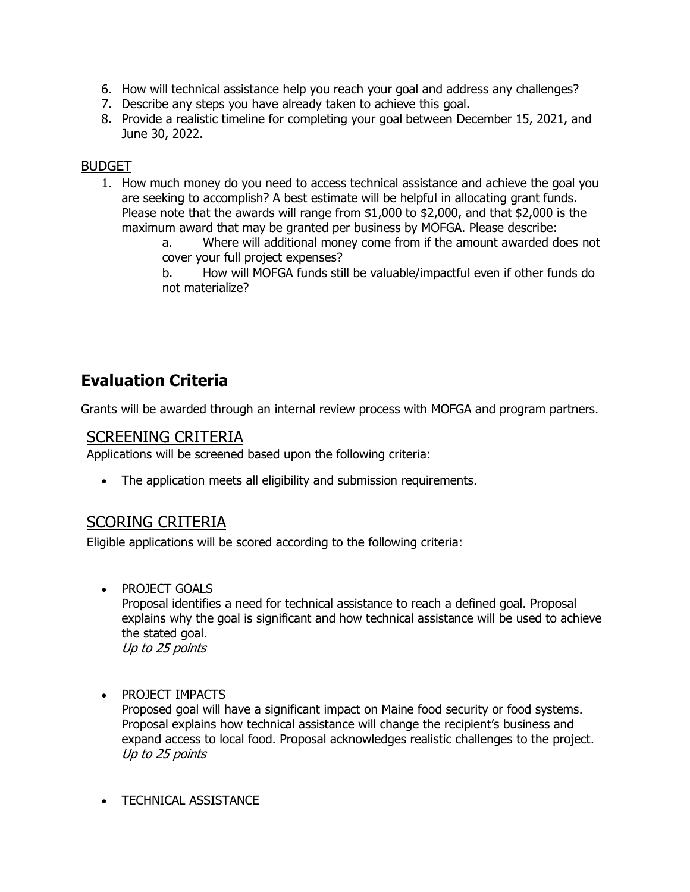- 6. How will technical assistance help you reach your goal and address any challenges?
- 7. Describe any steps you have already taken to achieve this goal.
- 8. Provide a realistic timeline for completing your goal between December 15, 2021, and June 30, 2022.

#### BUDGET

1. How much money do you need to access technical assistance and achieve the goal you are seeking to accomplish? A best estimate will be helpful in allocating grant funds. Please note that the awards will range from \$1,000 to \$2,000, and that \$2,000 is the maximum award that may be granted per business by MOFGA. Please describe:

> a. Where will additional money come from if the amount awarded does not cover your full project expenses?

b. How will MOFGA funds still be valuable/impactful even if other funds do not materialize?

# **Evaluation Criteria**

Grants will be awarded through an internal review process with MOFGA and program partners.

### SCREENING CRITERIA

Applications will be screened based upon the following criteria:

The application meets all eligibility and submission requirements.

## SCORING CRITERIA

Eligible applications will be scored according to the following criteria:

• PROJECT GOALS

Proposal identifies a need for technical assistance to reach a defined goal. Proposal explains why the goal is significant and how technical assistance will be used to achieve the stated goal. Up to 25 points

## • PROJECT IMPACTS

Proposed goal will have a significant impact on Maine food security or food systems. Proposal explains how technical assistance will change the recipient's business and expand access to local food. Proposal acknowledges realistic challenges to the project. Up to 25 points

• TECHNICAL ASSISTANCE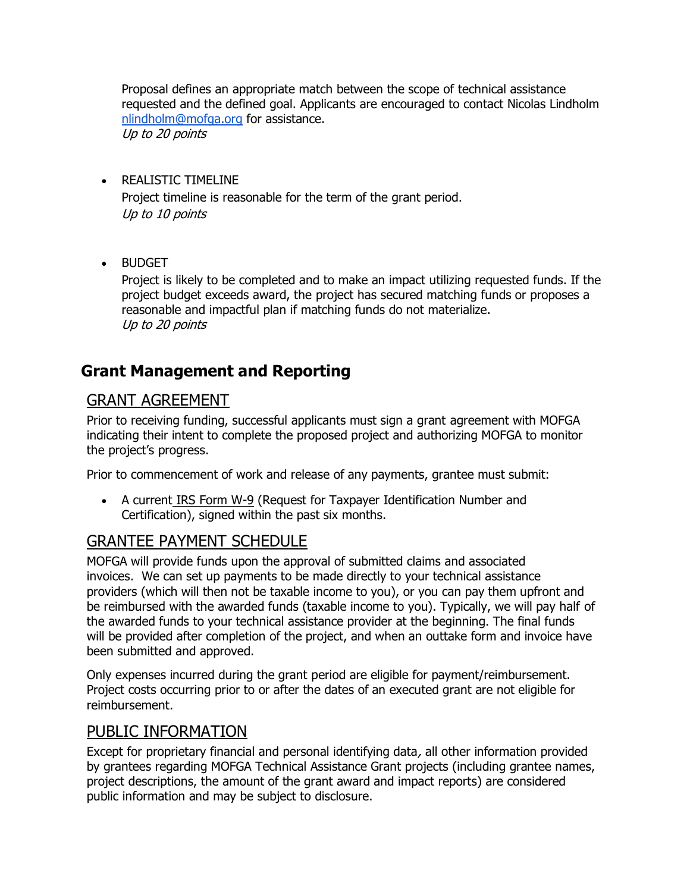Proposal defines an appropriate match between the scope of technical assistance requested and the defined goal. Applicants are encouraged to contact Nicolas Lindholm [nlindholm@mofga.org](mailto:nlindholm@mofga.org) for assistance. Up to 20 points

- REALISTIC TIMELINE Project timeline is reasonable for the term of the grant period. Up to 10 points
- BUDGET

Project is likely to be completed and to make an impact utilizing requested funds. If the project budget exceeds award, the project has secured matching funds or proposes a reasonable and impactful plan if matching funds do not materialize. Up to 20 points

# **Grant Management and Reporting**

### GRANT AGREEMENT

Prior to receiving funding, successful applicants must sign a grant agreement with MOFGA indicating their intent to complete the proposed project and authorizing MOFGA to monitor the project's progress.

Prior to commencement of work and release of any payments, grantee must submit:

• A current [IRS Form W-9](https://www.irs.gov/forms-pubs/about-form-w-9) (Request for Taxpayer Identification Number and Certification), signed within the past six months.

## GRANTEE PAYMENT SCHEDULE

MOFGA will provide funds upon the approval of submitted claims and associated invoices. We can set up payments to be made directly to your technical assistance providers (which will then not be taxable income to you), or you can pay them upfront and be reimbursed with the awarded funds (taxable income to you). Typically, we will pay half of the awarded funds to your technical assistance provider at the beginning. The final funds will be provided after completion of the project, and when an outtake form and invoice have been submitted and approved.

Only expenses incurred during the grant period are eligible for payment/reimbursement. Project costs occurring prior to or after the dates of an executed grant are not eligible for reimbursement.

### PUBLIC INFORMATION

Except for proprietary financial and personal identifying data, all other information provided by grantees regarding MOFGA Technical Assistance Grant projects (including grantee names, project descriptions, the amount of the grant award and impact reports) are considered public information and may be subject to disclosure.